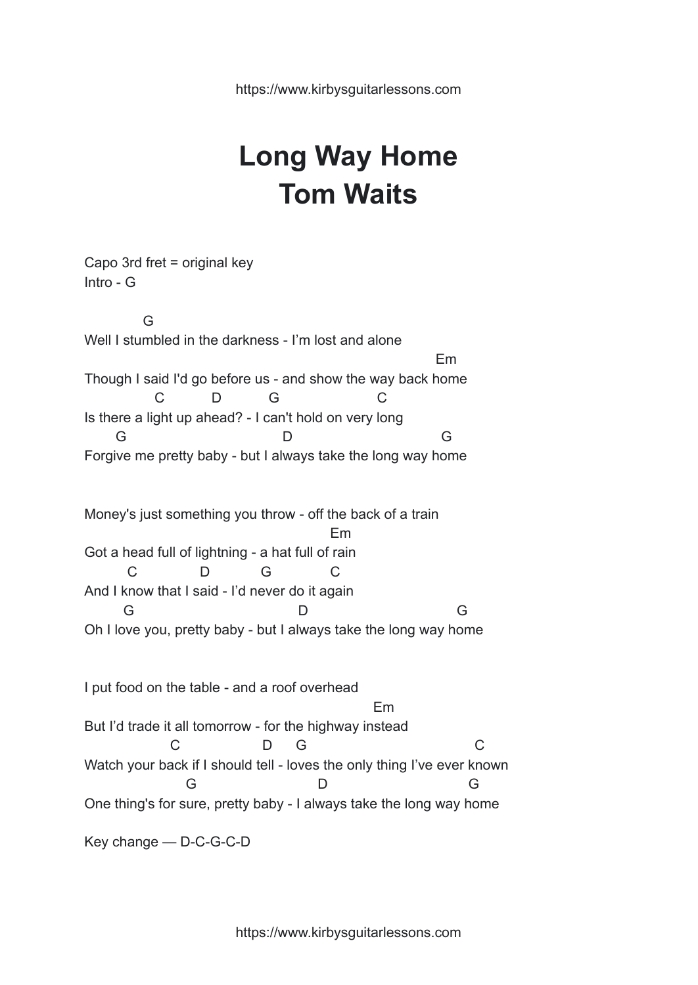https://www.kirbysguitarlessons.com

## **Long Way Home Tom Waits**

Capo 3rd fret = original key Intro - G

G

Well I stumbled in the darkness - I'm lost and alone Em Though I said I'd go before us - and show the way back home C D G C Is there a light up ahead? - I can't hold on very long G D G Forgive me pretty baby - but I always take the long way home

Money's just something you throw - off the back of a train Em Got a head full of lightning - a hat full of rain C D G C And I know that I said - I'd never do it again G D G Oh I love you, pretty baby - but I always take the long way home

I put food on the table - and a roof overhead Em But I'd trade it all tomorrow - for the highway instead C D G C Watch your back if I should tell - loves the only thing I've ever known G D G One thing's for sure, pretty baby - I always take the long way home

Key change — D-C-G-C-D